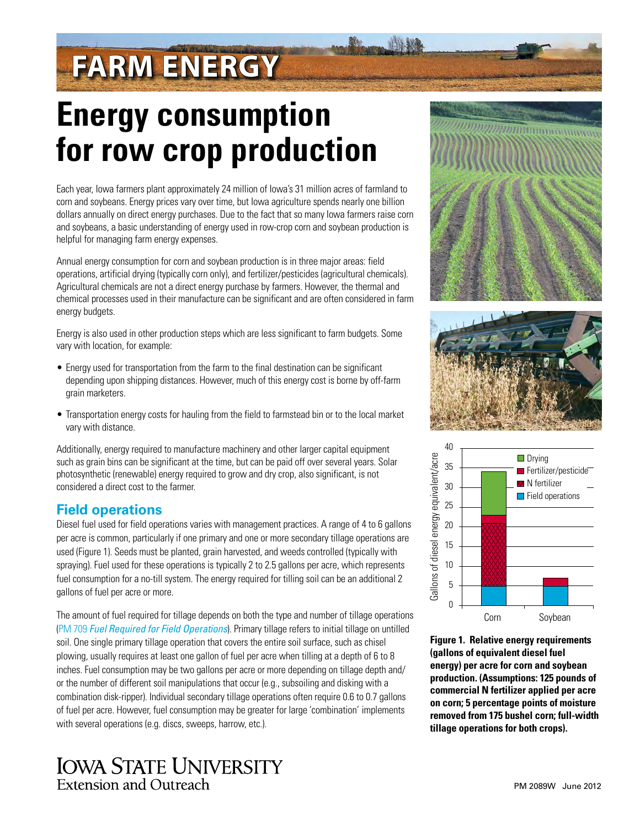# **FARM ENERGY**

## **Energy consumption for row crop production**

Each year, Iowa farmers plant approximately 24 million of Iowa's 31 million acres of farmland to corn and soybeans. Energy prices vary over time, but Iowa agriculture spends nearly one billion dollars annually on direct energy purchases. Due to the fact that so many Iowa farmers raise corn and soybeans, a basic understanding of energy used in row-crop corn and soybean production is helpful for managing farm energy expenses.

Annual energy consumption for corn and soybean production is in three major areas: field operations, artificial drying (typically corn only), and fertilizer/pesticides (agricultural chemicals). Agricultural chemicals are not a direct energy purchase by farmers. However, the thermal and chemical processes used in their manufacture can be significant and are often considered in farm energy budgets.

Energy is also used in other production steps which are less significant to farm budgets. Some vary with location, for example:

- Energy used for transportation from the farm to the final destination can be significant depending upon shipping distances. However, much of this energy cost is borne by off-farm grain marketers.
- Transportation energy costs for hauling from the field to farmstead bin or to the local market vary with distance.

Additionally, energy required to manufacture machinery and other larger capital equipment such as grain bins can be significant at the time, but can be paid off over several years. Solar photosynthetic (renewable) energy required to grow and dry crop, also significant, is not considered a direct cost to the farmer.

#### **Field operations**

Diesel fuel used for field operations varies with management practices. A range of 4 to 6 gallons per acre is common, particularly if one primary and one or more secondary tillage operations are used (Figure 1). Seeds must be planted, grain harvested, and weeds controlled (typically with spraying). Fuel used for these operations is typically 2 to 2.5 gallons per acre, which represents fuel consumption for a no-till system. The energy required for tilling soil can be an additional 2 gallons of fuel per acre or more.

The amount of fuel required for tillage depends on both the type and number of tillage operations (PM 709 *[Fuel Required for Field Operations](https://store.extension.iastate.edu/ItemDetail.aspx?ProductID=4047)*). Primary tillage refers to initial tillage on untilled soil. One single primary tillage operation that covers the entire soil surface, such as chisel plowing, usually requires at least one gallon of fuel per acre when tilling at a depth of 6 to 8 inches. Fuel consumption may be two gallons per acre or more depending on tillage depth and/ or the number of different soil manipulations that occur (e.g., subsoiling and disking with a combination disk-ripper). Individual secondary tillage operations often require 0.6 to 0.7 gallons of fuel per acre. However, fuel consumption may be greater for large 'combination' implements with several operations (e.g. discs, sweeps, harrow, etc.).







**Figure 1. Relative energy requirements (gallons of equivalent diesel fuel energy) per acre for corn and soybean production. (Assumptions: 125 pounds of commercial N fertilizer applied per acre on corn; 5 percentage points of moisture removed from 175 bushel corn; full-width** 

### **IOWA STATE UNIVERSITY** Extension and Outreach